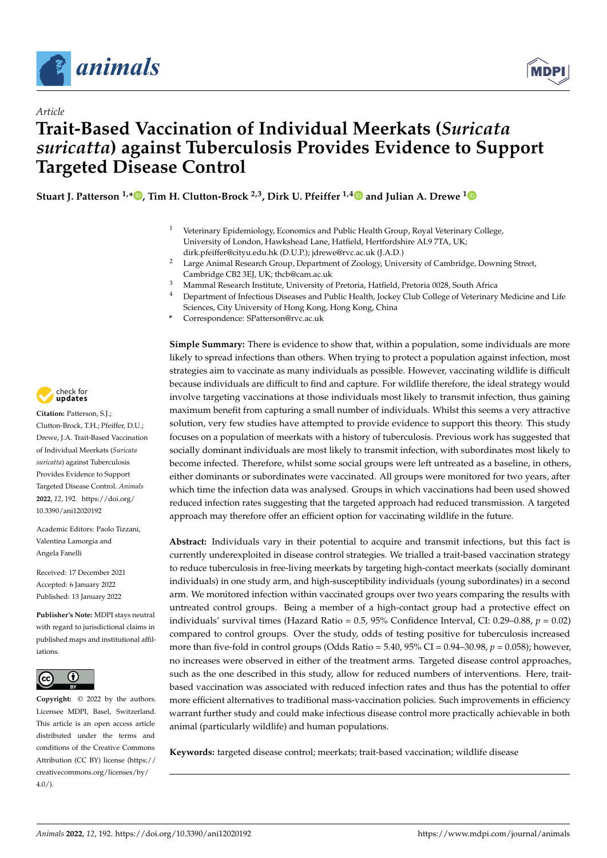

*Article*



# **Trait-Based Vaccination of Individual Meerkats (***Suricata suricatta***) against Tuberculosis Provides Evidence to Support Targeted Disease Control**

**Stuart J. Patterson 1,\* [,](https://orcid.org/0000-0002-4907-8373) Tim H. Clutton-Brock 2,3, Dirk U. Pfeiffer 1,[4](https://orcid.org/0000-0001-7000-0530) and Julian A. Drewe [1](https://orcid.org/0000-0003-0709-8066)**

- <sup>1</sup> Veterinary Epidemiology, Economics and Public Health Group, Royal Veterinary College, University of London, Hawkshead Lane, Hatfield, Hertfordshire AL9 7TA, UK; dirk.pfeiffer@cityu.edu.hk (D.U.P.); jdrewe@rvc.ac.uk (J.A.D.)
- <sup>2</sup> Large Animal Research Group, Department of Zoology, University of Cambridge, Downing Street, Cambridge CB2 3EJ, UK; thcb@cam.ac.uk
- <sup>3</sup> Mammal Research Institute, University of Pretoria, Hatfield, Pretoria 0028, South Africa
- Department of Infectious Diseases and Public Health, Jockey Club College of Veterinary Medicine and Life Sciences, City University of Hong Kong, Hong Kong, China
- **\*** Correspondence: SPatterson@rvc.ac.uk

**Simple Summary:** There is evidence to show that, within a population, some individuals are more likely to spread infections than others. When trying to protect a population against infection, most strategies aim to vaccinate as many individuals as possible. However, vaccinating wildlife is difficult because individuals are difficult to find and capture. For wildlife therefore, the ideal strategy would involve targeting vaccinations at those individuals most likely to transmit infection, thus gaining maximum benefit from capturing a small number of individuals. Whilst this seems a very attractive solution, very few studies have attempted to provide evidence to support this theory. This study focuses on a population of meerkats with a history of tuberculosis. Previous work has suggested that socially dominant individuals are most likely to transmit infection, with subordinates most likely to become infected. Therefore, whilst some social groups were left untreated as a baseline, in others, either dominants or subordinates were vaccinated. All groups were monitored for two years, after which time the infection data was analysed. Groups in which vaccinations had been used showed reduced infection rates suggesting that the targeted approach had reduced transmission. A targeted approach may therefore offer an efficient option for vaccinating wildlife in the future.

**Abstract:** Individuals vary in their potential to acquire and transmit infections, but this fact is currently underexploited in disease control strategies. We trialled a trait-based vaccination strategy to reduce tuberculosis in free-living meerkats by targeting high-contact meerkats (socially dominant individuals) in one study arm, and high-susceptibility individuals (young subordinates) in a second arm. We monitored infection within vaccinated groups over two years comparing the results with untreated control groups. Being a member of a high-contact group had a protective effect on individuals' survival times (Hazard Ratio = 0.5, 95% Confidence Interval, CI: 0.29–0.88, *p* = 0.02) compared to control groups. Over the study, odds of testing positive for tuberculosis increased more than five-fold in control groups (Odds Ratio = 5.40,  $95\%$  CI = 0.94–30.98,  $p = 0.058$ ); however, no increases were observed in either of the treatment arms. Targeted disease control approaches, such as the one described in this study, allow for reduced numbers of interventions. Here, traitbased vaccination was associated with reduced infection rates and thus has the potential to offer more efficient alternatives to traditional mass-vaccination policies. Such improvements in efficiency warrant further study and could make infectious disease control more practically achievable in both animal (particularly wildlife) and human populations.

**Keywords:** targeted disease control; meerkats; trait-based vaccination; wildlife disease



**Citation:** Patterson, S.J.; Clutton-Brock, T.H.; Pfeiffer, D.U.; Drewe, J.A. Trait-Based Vaccination of Individual Meerkats (*Suricata suricatta*) against Tuberculosis Provides Evidence to Support Targeted Disease Control. *Animals* **2022**, *12*, 192. [https://doi.org/](https://doi.org/10.3390/ani12020192) [10.3390/ani12020192](https://doi.org/10.3390/ani12020192)

Academic Editors: Paolo Tizzani, Valentina Lamorgia and Angela Fanelli

Received: 17 December 2021 Accepted: 6 January 2022 Published: 13 January 2022

**Publisher's Note:** MDPI stays neutral with regard to jurisdictional claims in published maps and institutional affiliations.



**Copyright:** © 2022 by the authors. Licensee MDPI, Basel, Switzerland. This article is an open access article distributed under the terms and conditions of the Creative Commons Attribution (CC BY) license [\(https://](https://creativecommons.org/licenses/by/4.0/) [creativecommons.org/licenses/by/](https://creativecommons.org/licenses/by/4.0/)  $4.0/$ ).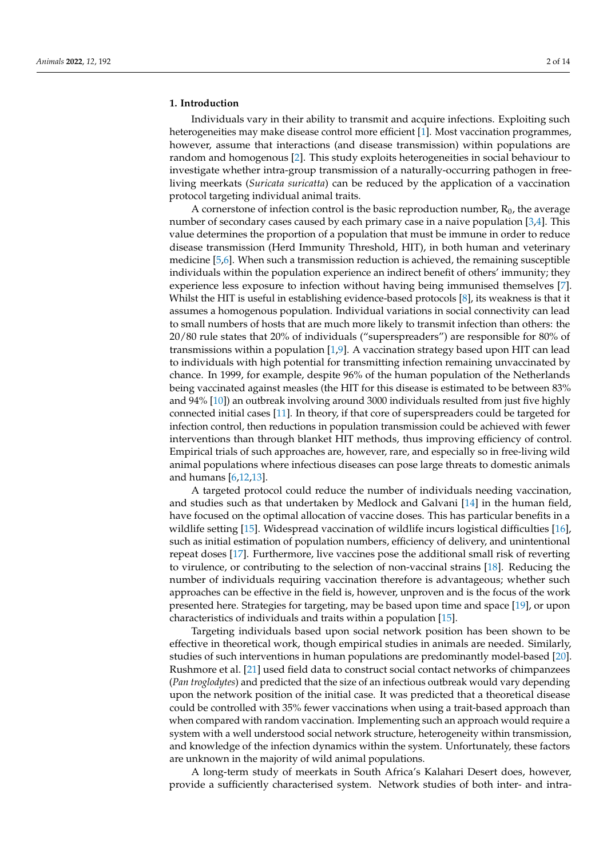## **1. Introduction**

Individuals vary in their ability to transmit and acquire infections. Exploiting such heterogeneities may make disease control more efficient [\[1\]](#page-11-0). Most vaccination programmes, however, assume that interactions (and disease transmission) within populations are random and homogenous [\[2\]](#page-11-1). This study exploits heterogeneities in social behaviour to investigate whether intra-group transmission of a naturally-occurring pathogen in freeliving meerkats (*Suricata suricatta*) can be reduced by the application of a vaccination protocol targeting individual animal traits.

A cornerstone of infection control is the basic reproduction number,  $R_0$ , the average number of secondary cases caused by each primary case in a naive population [\[3,](#page-11-2)[4\]](#page-11-3). This value determines the proportion of a population that must be immune in order to reduce disease transmission (Herd Immunity Threshold, HIT), in both human and veterinary medicine [\[5,](#page-11-4)[6\]](#page-11-5). When such a transmission reduction is achieved, the remaining susceptible individuals within the population experience an indirect benefit of others' immunity; they experience less exposure to infection without having being immunised themselves [\[7\]](#page-11-6). Whilst the HIT is useful in establishing evidence-based protocols [\[8\]](#page-11-7), its weakness is that it assumes a homogenous population. Individual variations in social connectivity can lead to small numbers of hosts that are much more likely to transmit infection than others: the 20/80 rule states that 20% of individuals ("superspreaders") are responsible for 80% of transmissions within a population [\[1](#page-11-0)[,9\]](#page-11-8). A vaccination strategy based upon HIT can lead to individuals with high potential for transmitting infection remaining unvaccinated by chance. In 1999, for example, despite 96% of the human population of the Netherlands being vaccinated against measles (the HIT for this disease is estimated to be between 83% and 94% [\[10\]](#page-11-9)) an outbreak involving around 3000 individuals resulted from just five highly connected initial cases [\[11\]](#page-11-10). In theory, if that core of superspreaders could be targeted for infection control, then reductions in population transmission could be achieved with fewer interventions than through blanket HIT methods, thus improving efficiency of control. Empirical trials of such approaches are, however, rare, and especially so in free-living wild animal populations where infectious diseases can pose large threats to domestic animals and humans [\[6,](#page-11-5)[12,](#page-11-11)[13\]](#page-11-12).

A targeted protocol could reduce the number of individuals needing vaccination, and studies such as that undertaken by Medlock and Galvani [\[14\]](#page-11-13) in the human field, have focused on the optimal allocation of vaccine doses. This has particular benefits in a wildlife setting [\[15\]](#page-11-14). Widespread vaccination of wildlife incurs logistical difficulties [\[16\]](#page-11-15), such as initial estimation of population numbers, efficiency of delivery, and unintentional repeat doses [\[17\]](#page-11-16). Furthermore, live vaccines pose the additional small risk of reverting to virulence, or contributing to the selection of non-vaccinal strains [\[18\]](#page-11-17). Reducing the number of individuals requiring vaccination therefore is advantageous; whether such approaches can be effective in the field is, however, unproven and is the focus of the work presented here. Strategies for targeting, may be based upon time and space [\[19\]](#page-11-18), or upon characteristics of individuals and traits within a population [\[15\]](#page-11-14).

Targeting individuals based upon social network position has been shown to be effective in theoretical work, though empirical studies in animals are needed. Similarly, studies of such interventions in human populations are predominantly model-based [\[20\]](#page-11-19). Rushmore et al. [\[21\]](#page-11-20) used field data to construct social contact networks of chimpanzees (*Pan troglodytes*) and predicted that the size of an infectious outbreak would vary depending upon the network position of the initial case. It was predicted that a theoretical disease could be controlled with 35% fewer vaccinations when using a trait-based approach than when compared with random vaccination. Implementing such an approach would require a system with a well understood social network structure, heterogeneity within transmission, and knowledge of the infection dynamics within the system. Unfortunately, these factors are unknown in the majority of wild animal populations.

A long-term study of meerkats in South Africa's Kalahari Desert does, however, provide a sufficiently characterised system. Network studies of both inter- and intra-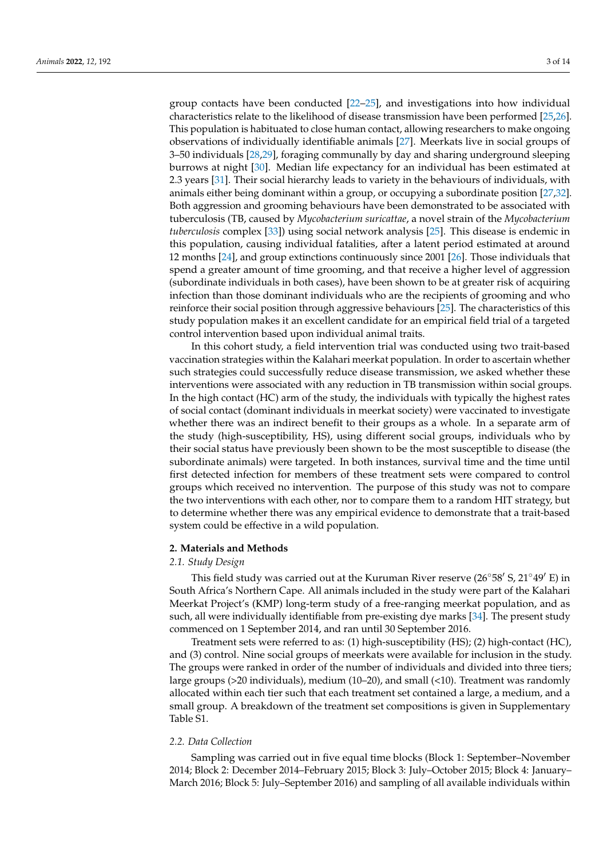group contacts have been conducted [\[22](#page-11-21)[–25\]](#page-12-0), and investigations into how individual characteristics relate to the likelihood of disease transmission have been performed [\[25](#page-12-0)[,26\]](#page-12-1). This population is habituated to close human contact, allowing researchers to make ongoing observations of individually identifiable animals [\[27\]](#page-12-2). Meerkats live in social groups of 3–50 individuals [\[28](#page-12-3)[,29\]](#page-12-4), foraging communally by day and sharing underground sleeping burrows at night [\[30\]](#page-12-5). Median life expectancy for an individual has been estimated at 2.3 years [\[31\]](#page-12-6). Their social hierarchy leads to variety in the behaviours of individuals, with animals either being dominant within a group, or occupying a subordinate position [\[27](#page-12-2)[,32\]](#page-12-7). Both aggression and grooming behaviours have been demonstrated to be associated with tuberculosis (TB, caused by *Mycobacterium suricattae*, a novel strain of the *Mycobacterium tuberculosis* complex [\[33\]](#page-12-8)) using social network analysis [\[25\]](#page-12-0). This disease is endemic in this population, causing individual fatalities, after a latent period estimated at around 12 months [\[24\]](#page-12-9), and group extinctions continuously since 2001 [\[26\]](#page-12-1). Those individuals that spend a greater amount of time grooming, and that receive a higher level of aggression (subordinate individuals in both cases), have been shown to be at greater risk of acquiring infection than those dominant individuals who are the recipients of grooming and who reinforce their social position through aggressive behaviours [\[25\]](#page-12-0). The characteristics of this study population makes it an excellent candidate for an empirical field trial of a targeted control intervention based upon individual animal traits.

In this cohort study, a field intervention trial was conducted using two trait-based vaccination strategies within the Kalahari meerkat population. In order to ascertain whether such strategies could successfully reduce disease transmission, we asked whether these interventions were associated with any reduction in TB transmission within social groups. In the high contact (HC) arm of the study, the individuals with typically the highest rates of social contact (dominant individuals in meerkat society) were vaccinated to investigate whether there was an indirect benefit to their groups as a whole. In a separate arm of the study (high-susceptibility, HS), using different social groups, individuals who by their social status have previously been shown to be the most susceptible to disease (the subordinate animals) were targeted. In both instances, survival time and the time until first detected infection for members of these treatment sets were compared to control groups which received no intervention. The purpose of this study was not to compare the two interventions with each other, nor to compare them to a random HIT strategy, but to determine whether there was any empirical evidence to demonstrate that a trait-based system could be effective in a wild population.

#### **2. Materials and Methods**

## *2.1. Study Design*

This field study was carried out at the Kuruman River reserve (26 $\degree$ 58 $\degree$ S, 21 $\degree$ 49 $\degree$ E) in South Africa's Northern Cape. All animals included in the study were part of the Kalahari Meerkat Project's (KMP) long-term study of a free-ranging meerkat population, and as such, all were individually identifiable from pre-existing dye marks [\[34\]](#page-12-10). The present study commenced on 1 September 2014, and ran until 30 September 2016.

Treatment sets were referred to as: (1) high-susceptibility (HS); (2) high-contact (HC), and (3) control. Nine social groups of meerkats were available for inclusion in the study. The groups were ranked in order of the number of individuals and divided into three tiers; large groups (>20 individuals), medium (10–20), and small (<10). Treatment was randomly allocated within each tier such that each treatment set contained a large, a medium, and a small group. A breakdown of the treatment set compositions is given in Supplementary Table S1.

# *2.2. Data Collection*

Sampling was carried out in five equal time blocks (Block 1: September–November 2014; Block 2: December 2014–February 2015; Block 3: July–October 2015; Block 4: January– March 2016; Block 5: July–September 2016) and sampling of all available individuals within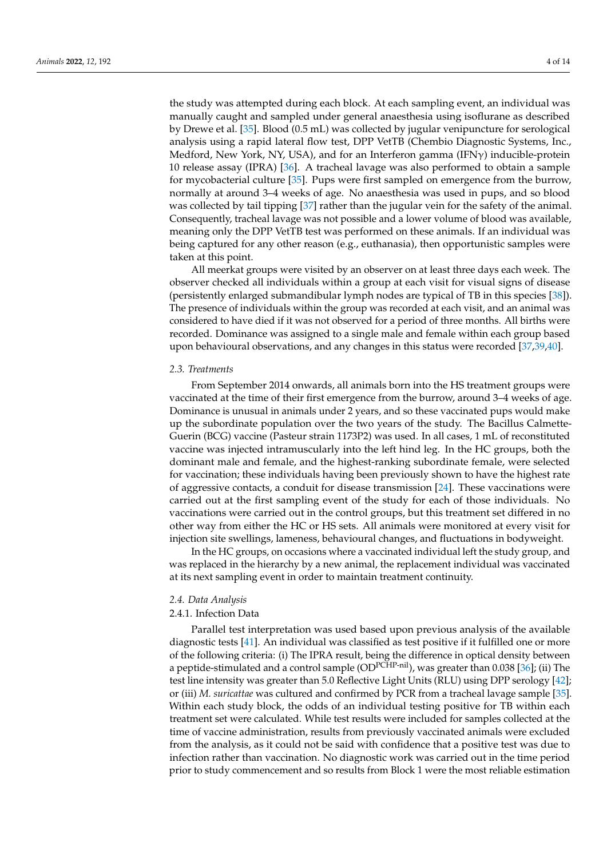the study was attempted during each block. At each sampling event, an individual was manually caught and sampled under general anaesthesia using isoflurane as described by Drewe et al. [\[35\]](#page-12-11). Blood (0.5 mL) was collected by jugular venipuncture for serological analysis using a rapid lateral flow test, DPP VetTB (Chembio Diagnostic Systems, Inc., Medford, New York, NY, USA), and for an Interferon gamma (IFNγ) inducible-protein 10 release assay (IPRA) [\[36\]](#page-12-12). A tracheal lavage was also performed to obtain a sample for mycobacterial culture [\[35\]](#page-12-11). Pups were first sampled on emergence from the burrow, normally at around 3–4 weeks of age. No anaesthesia was used in pups, and so blood was collected by tail tipping [\[37\]](#page-12-13) rather than the jugular vein for the safety of the animal. Consequently, tracheal lavage was not possible and a lower volume of blood was available, meaning only the DPP VetTB test was performed on these animals. If an individual was being captured for any other reason (e.g., euthanasia), then opportunistic samples were taken at this point.

All meerkat groups were visited by an observer on at least three days each week. The observer checked all individuals within a group at each visit for visual signs of disease (persistently enlarged submandibular lymph nodes are typical of TB in this species [\[38\]](#page-12-14)). The presence of individuals within the group was recorded at each visit, and an animal was considered to have died if it was not observed for a period of three months. All births were recorded. Dominance was assigned to a single male and female within each group based upon behavioural observations, and any changes in this status were recorded [\[37](#page-12-13)[,39](#page-12-15)[,40\]](#page-12-16).

#### *2.3. Treatments*

From September 2014 onwards, all animals born into the HS treatment groups were vaccinated at the time of their first emergence from the burrow, around 3–4 weeks of age. Dominance is unusual in animals under 2 years, and so these vaccinated pups would make up the subordinate population over the two years of the study. The Bacillus Calmette-Guerin (BCG) vaccine (Pasteur strain 1173P2) was used. In all cases, 1 mL of reconstituted vaccine was injected intramuscularly into the left hind leg. In the HC groups, both the dominant male and female, and the highest-ranking subordinate female, were selected for vaccination; these individuals having been previously shown to have the highest rate of aggressive contacts, a conduit for disease transmission [\[24\]](#page-12-9). These vaccinations were carried out at the first sampling event of the study for each of those individuals. No vaccinations were carried out in the control groups, but this treatment set differed in no other way from either the HC or HS sets. All animals were monitored at every visit for injection site swellings, lameness, behavioural changes, and fluctuations in bodyweight.

In the HC groups, on occasions where a vaccinated individual left the study group, and was replaced in the hierarchy by a new animal, the replacement individual was vaccinated at its next sampling event in order to maintain treatment continuity.

### *2.4. Data Analysis*

## 2.4.1. Infection Data

Parallel test interpretation was used based upon previous analysis of the available diagnostic tests [\[41\]](#page-12-17). An individual was classified as test positive if it fulfilled one or more of the following criteria: (i) The IPRA result, being the difference in optical density between a peptide-stimulated and a control sample  $OD<sup>PCHP-nil</sup>$ , was greater than 0.038 [\[36\]](#page-12-12); (ii) The test line intensity was greater than 5.0 Reflective Light Units (RLU) using DPP serology [\[42\]](#page-12-18); or (iii) *M. suricattae* was cultured and confirmed by PCR from a tracheal lavage sample [\[35\]](#page-12-11). Within each study block, the odds of an individual testing positive for TB within each treatment set were calculated. While test results were included for samples collected at the time of vaccine administration, results from previously vaccinated animals were excluded from the analysis, as it could not be said with confidence that a positive test was due to infection rather than vaccination. No diagnostic work was carried out in the time period prior to study commencement and so results from Block 1 were the most reliable estimation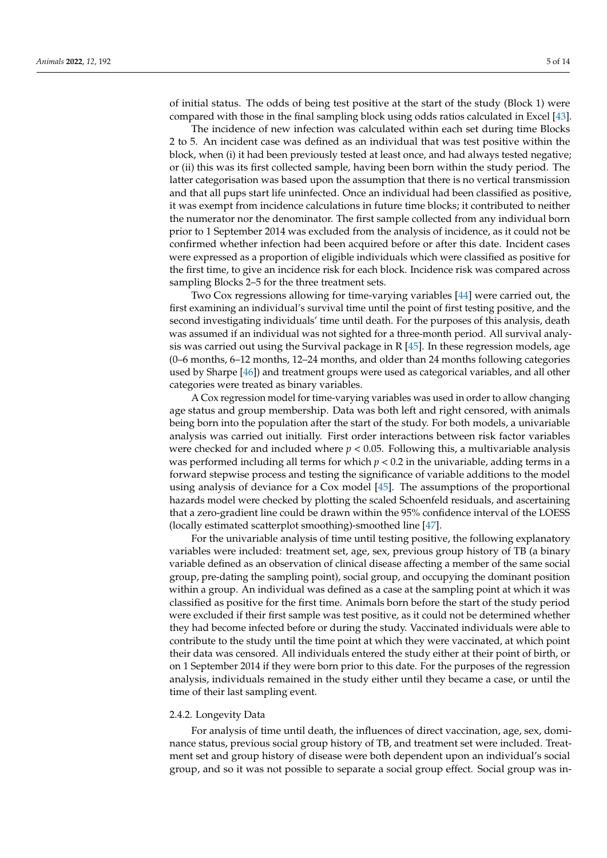of initial status. The odds of being test positive at the start of the study (Block 1) were compared with those in the final sampling block using odds ratios calculated in Excel [\[43\]](#page-12-19).

The incidence of new infection was calculated within each set during time Blocks 2 to 5. An incident case was defined as an individual that was test positive within the block, when (i) it had been previously tested at least once, and had always tested negative; or (ii) this was its first collected sample, having been born within the study period. The latter categorisation was based upon the assumption that there is no vertical transmission and that all pups start life uninfected. Once an individual had been classified as positive, it was exempt from incidence calculations in future time blocks; it contributed to neither the numerator nor the denominator. The first sample collected from any individual born prior to 1 September 2014 was excluded from the analysis of incidence, as it could not be confirmed whether infection had been acquired before or after this date. Incident cases were expressed as a proportion of eligible individuals which were classified as positive for the first time, to give an incidence risk for each block. Incidence risk was compared across sampling Blocks 2–5 for the three treatment sets.

Two Cox regressions allowing for time-varying variables [\[44\]](#page-12-20) were carried out, the first examining an individual's survival time until the point of first testing positive, and the second investigating individuals' time until death. For the purposes of this analysis, death was assumed if an individual was not sighted for a three-month period. All survival analysis was carried out using the Survival package in R [\[45\]](#page-12-21). In these regression models, age (0–6 months, 6–12 months, 12–24 months, and older than 24 months following categories used by Sharpe [\[46\]](#page-12-22)) and treatment groups were used as categorical variables, and all other categories were treated as binary variables.

A Cox regression model for time-varying variables was used in order to allow changing age status and group membership. Data was both left and right censored, with animals being born into the population after the start of the study. For both models, a univariable analysis was carried out initially. First order interactions between risk factor variables were checked for and included where  $p < 0.05$ . Following this, a multivariable analysis was performed including all terms for which  $p < 0.2$  in the univariable, adding terms in a forward stepwise process and testing the significance of variable additions to the model using analysis of deviance for a Cox model [\[45\]](#page-12-21). The assumptions of the proportional hazards model were checked by plotting the scaled Schoenfeld residuals, and ascertaining that a zero-gradient line could be drawn within the 95% confidence interval of the LOESS (locally estimated scatterplot smoothing)-smoothed line [\[47\]](#page-12-23).

For the univariable analysis of time until testing positive, the following explanatory variables were included: treatment set, age, sex, previous group history of TB (a binary variable defined as an observation of clinical disease affecting a member of the same social group, pre-dating the sampling point), social group, and occupying the dominant position within a group. An individual was defined as a case at the sampling point at which it was classified as positive for the first time. Animals born before the start of the study period were excluded if their first sample was test positive, as it could not be determined whether they had become infected before or during the study. Vaccinated individuals were able to contribute to the study until the time point at which they were vaccinated, at which point their data was censored. All individuals entered the study either at their point of birth, or on 1 September 2014 if they were born prior to this date. For the purposes of the regression analysis, individuals remained in the study either until they became a case, or until the time of their last sampling event.

#### 2.4.2. Longevity Data

For analysis of time until death, the influences of direct vaccination, age, sex, dominance status, previous social group history of TB, and treatment set were included. Treatment set and group history of disease were both dependent upon an individual's social group, and so it was not possible to separate a social group effect. Social group was in-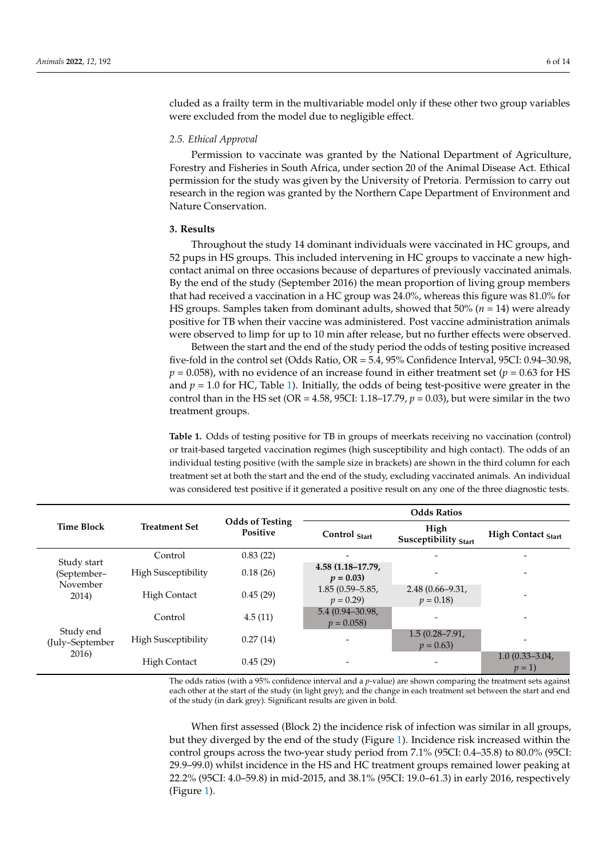cluded as a frailty term in the multivariable model only if these other two group variables were excluded from the model due to negligible effect.

## *2.5. Ethical Approval*

Permission to vaccinate was granted by the National Department of Agriculture, Forestry and Fisheries in South Africa, under section 20 of the Animal Disease Act. Ethical permission for the study was given by the University of Pretoria. Permission to carry out research in the region was granted by the Northern Cape Department of Environment and Nature Conservation.

# **3. Results**

Throughout the study 14 dominant individuals were vaccinated in HC groups, and 52 pups in HS groups. This included intervening in HC groups to vaccinate a new highcontact animal on three occasions because of departures of previously vaccinated animals. By the end of the study (September 2016) the mean proportion of living group members that had received a vaccination in a HC group was 24.0%, whereas this figure was 81.0% for HS groups. Samples taken from dominant adults, showed that 50% (*n* = 14) were already positive for TB when their vaccine was administered. Post vaccine administration animals were observed to limp for up to 10 min after release, but no further effects were observed.

Between the start and the end of the study period the odds of testing positive increased five-fold in the control set (Odds Ratio, OR = 5.4, 95% Confidence Interval, 95CI: 0.94–30.98,  $p = 0.058$ ), with no evidence of an increase found in either treatment set ( $p = 0.63$  for HS and  $p = 1.0$  for HC, Table [1\)](#page-5-0). Initially, the odds of being test-positive were greater in the control than in the HS set (OR =  $4.58$ , 95CI: 1.18–17.79,  $p = 0.03$ ), but were similar in the two treatment groups.

<span id="page-5-0"></span>**Table 1.** Odds of testing positive for TB in groups of meerkats receiving no vaccination (control) or trait-based targeted vaccination regimes (high susceptibility and high contact). The odds of an individual testing positive (with the sample size in brackets) are shown in the third column for each treatment set at both the start and the end of the study, excluding vaccinated animals. An individual was considered test positive if it generated a positive result on any one of the three diagnostic tests.

|                                                 | <b>Treatment Set</b>       | <b>Odds of Testing</b><br><b>Positive</b> | <b>Odds Ratios</b>                |                                   |                               |  |
|-------------------------------------------------|----------------------------|-------------------------------------------|-----------------------------------|-----------------------------------|-------------------------------|--|
| <b>Time Block</b>                               |                            |                                           | Control Start                     | High<br>Susceptibility Start      | <b>High Contact Start</b>     |  |
| Study start<br>(September-<br>November<br>2014) | Control                    | 0.83(22)                                  |                                   |                                   | $\overline{\phantom{0}}$      |  |
|                                                 | <b>High Susceptibility</b> | 0.18(26)                                  | 4.58 (1.18–17.79,<br>$p = 0.03$   |                                   |                               |  |
|                                                 | <b>High Contact</b>        | 0.45(29)                                  | $1.85(0.59 - 5.85,$<br>$p = 0.29$ | $2.48(0.66 - 9.31)$<br>$p = 0.18$ | -                             |  |
| Study end<br>(July-September<br>2016)           | Control                    | 4.5(11)                                   | 5.4 (0.94-30.98,<br>$p = 0.058$   |                                   | $\overline{ }$                |  |
|                                                 | <b>High Susceptibility</b> | 0.27(14)                                  |                                   | $1.5(0.28 - 7.91)$<br>$p = 0.63$  | -                             |  |
|                                                 | <b>High Contact</b>        | 0.45(29)                                  | $\overline{\phantom{0}}$          |                                   | $1.0(0.33 - 3.04)$<br>$p = 1$ |  |

The odds ratios (with a 95% confidence interval and a *p*-value) are shown comparing the treatment sets against each other at the start of the study (in light grey); and the change in each treatment set between the start and end of the study (in dark grey). Significant results are given in bold.

When first assessed (Block 2) the incidence risk of infection was similar in all groups, but they diverged by the end of the study (Figure [1\)](#page-6-0). Incidence risk increased within the control groups across the two-year study period from 7.1% (95CI: 0.4–35.8) to 80.0% (95CI: 29.9–99.0) whilst incidence in the HS and HC treatment groups remained lower peaking at 22.2% (95CI: 4.0–59.8) in mid-2015, and 38.1% (95CI: 19.0–61.3) in early 2016, respectively (Figure [1\)](#page-6-0).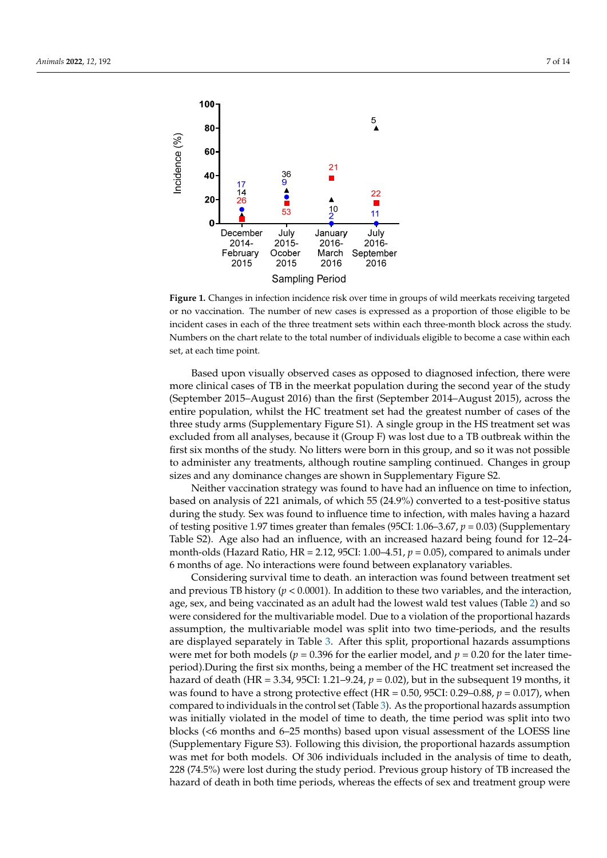<span id="page-6-0"></span>

or no vaccination. The number of new cases is expressed as a proportion of those eligible to be incident cases in each of the three treatment sets within each three-month block across the study. Numbers on the chart relate to the total number of individuals eligible to become a case wi Numbers on the chart relate to the total number of individuals eligible to become a case within each set, at each time point. set, at each time point. **Figure 1.** Changes in infection incidence risk over time in groups of wild meerkats receiving targeted

Based upon visually observed cases as opposed to diagnosed infection, there were more clinical cases of TB in the meerkat population during the second year of the study<br>(*Q* interaction 2015, and the clinical cases of TB in the meerkat population during the second year of the study (September 2015–August 2016) than the first (September 2014–August 2015), across the entire population, whilst the HC treatment set had the greatest number of cases of the three study arms (Supplementary Figure S1). A single group in the HS treatment set was excluded from all analyses, because it (Group F) was lost due to a TB outbreak within the first six months of the study. No litters were born in this group, and so it was not possible to administer any treatments, although routine sampling continued. Changes in group sizes and any dominance changes are shown in Supplementary Figure S2.

Neither vaccination strategy was found to have had an influence on time to infection, based on analysis of 221 animals, of which 55 (24.9%) converted to a test-positive status during the study. Sex was found to influence time to infection, with males having a hazard of testing positive 1.97 times greater than females (95CI: 1.06–3.67, *p* = 0.03) (Supplementary Table S2). Age also had an influence, with an increased hazard being found for 12–24 month-olds (Hazard Ratio, HR = 2.12, 95CI: 1.00–4.51, *p* = 0.05), compared to animals under 6 months of age. No interactions were found between explanatory variables.

Considering survival time to death. an interaction was found between treatment set and previous TB history ( $p < 0.0001$ ). In addition to these two variables, and the interaction, age, sex, and being vaccinated as an adult had the lowest wald test values (Table [2\)](#page-7-0) and so were considered for the multivariable model. Due to a violation of the proportional hazards assumption, the multivariable model was split into two time-periods, and the results are displayed separately in Table [3.](#page-7-1) After this split, proportional hazards assumptions were met for both models ( $p = 0.396$  for the earlier model, and  $p = 0.20$  for the later timeperiod).During the first six months, being a member of the HC treatment set increased the hazard of death (HR = 3.34, 95CI: 1.21–9.24, *p* = 0.02), but in the subsequent 19 months, it was found to have a strong protective effect (HR = 0.50, 95CI: 0.29–0.88, *p* = 0.017), when compared to individuals in the control set (Table [3\)](#page-7-1). As the proportional hazards assumption was initially violated in the model of time to death, the time period was split into two blocks (<6 months and 6–25 months) based upon visual assessment of the LOESS line (Supplementary Figure S3). Following this division, the proportional hazards assumption was met for both models. Of 306 individuals included in the analysis of time to death, 228 (74.5%) were lost during the study period. Previous group history of TB increased the hazard of death in both time periods, whereas the effects of sex and treatment group were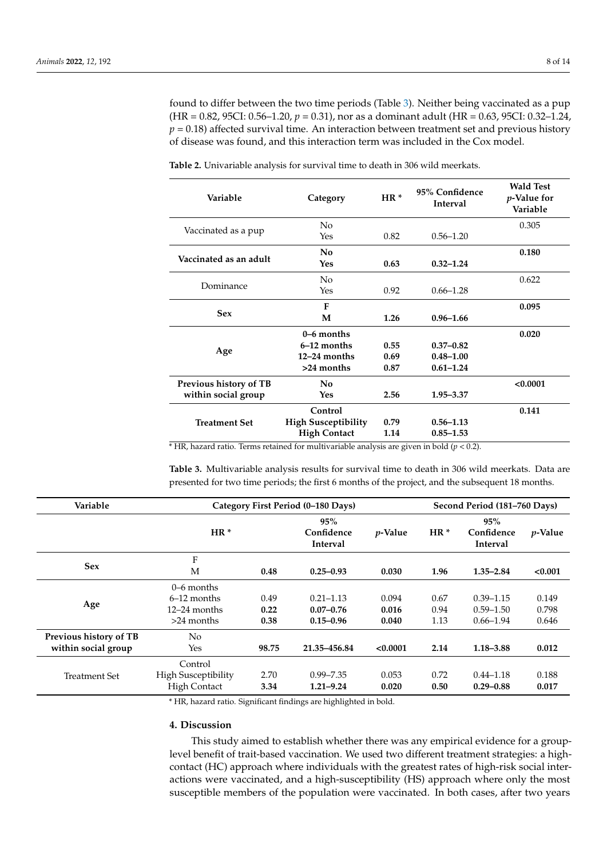found to differ between the two time periods (Table [3\)](#page-7-1). Neither being vaccinated as a pup (HR = 0.82, 95CI: 0.56–1.20, *p* = 0.31), nor as a dominant adult (HR = 0.63, 95CI: 0.32–1.24,  $p = 0.18$ ) affected survival time. An interaction between treatment set and previous history of disease was found, and this interaction term was included in the Cox model.

| Variable               | Category                   | $HR*$ | 95% Confidence<br><b>Interval</b> | <b>Wald Test</b><br><i>p</i> -Value for<br>Variable |
|------------------------|----------------------------|-------|-----------------------------------|-----------------------------------------------------|
|                        | No                         |       |                                   | 0.305                                               |
| Vaccinated as a pup    | Yes                        | 0.82  | $0.56 - 1.20$                     |                                                     |
|                        | No                         |       |                                   | 0.180                                               |
| Vaccinated as an adult | <b>Yes</b>                 | 0.63  | $0.32 - 1.24$                     |                                                     |
|                        | N <sub>0</sub>             |       |                                   | 0.622                                               |
| Dominance              | Yes                        | 0.92  | $0.66 - 1.28$                     |                                                     |
|                        | F                          |       |                                   | 0.095                                               |
| <b>Sex</b>             | M                          | 1.26  | $0.96 - 1.66$                     |                                                     |
|                        | $0-6$ months               |       |                                   | 0.020                                               |
|                        | $6-12$ months              | 0.55  | $0.37 - 0.82$                     |                                                     |
| Age                    | $12-24$ months             | 0.69  | $0.48 - 1.00$                     |                                                     |
|                        | >24 months                 | 0.87  | $0.61 - 1.24$                     |                                                     |
| Previous history of TB | No                         |       |                                   | < 0.0001                                            |
| within social group    | Yes                        | 2.56  | 1.95 - 3.37                       |                                                     |
|                        | Control                    |       |                                   | 0.141                                               |
| <b>Treatment Set</b>   | <b>High Susceptibility</b> | 0.79  | $0.56 - 1.13$                     |                                                     |
|                        | <b>High Contact</b>        | 1.14  | $0.85 - 1.53$                     |                                                     |

<span id="page-7-0"></span>**Table 2.** Univariable analysis for survival time to death in 306 wild meerkats.

 $*$  HR, hazard ratio. Terms retained for multivariable analysis are given in bold ( $p$  < 0.2).

<span id="page-7-1"></span>**Table 3.** Multivariable analysis results for survival time to death in 306 wild meerkats. Data are presented for two time periods; the first 6 months of the project, and the subsequent 18 months.

| Variable                                      | Category First Period (0-180 Days)                              |                      |                                                 |                         |                      | Second Period (181–760 Days)                    |                         |  |
|-----------------------------------------------|-----------------------------------------------------------------|----------------------|-------------------------------------------------|-------------------------|----------------------|-------------------------------------------------|-------------------------|--|
|                                               | $HR*$                                                           |                      | 95%<br>Confidence<br><b>Interval</b>            | <i>p</i> -Value         | $HR*$                | 95%<br>Confidence<br><b>Interval</b>            | <i>p</i> -Value         |  |
| <b>Sex</b>                                    | F<br>M                                                          | 0.48                 | $0.25 - 0.93$                                   | 0.030                   | 1.96                 | $1.35 - 2.84$                                   | < 0.001                 |  |
| Age                                           | $0-6$ months<br>$6-12$ months<br>$12-24$ months<br>$>24$ months | 0.49<br>0.22<br>0.38 | $0.21 - 1.13$<br>$0.07 - 0.76$<br>$0.15 - 0.96$ | 0.094<br>0.016<br>0.040 | 0.67<br>0.94<br>1.13 | $0.39 - 1.15$<br>$0.59 - 1.50$<br>$0.66 - 1.94$ | 0.149<br>0.798<br>0.646 |  |
| Previous history of TB<br>within social group | No.<br>Yes                                                      | 98.75                | 21.35-456.84                                    | < 0.0001                | 2.14                 | $1.18 - 3.88$                                   | 0.012                   |  |
| <b>Treatment Set</b>                          | Control<br><b>High Susceptibility</b><br><b>High Contact</b>    | 2.70<br>3.34         | $0.99 - 7.35$<br>$1.21 - 9.24$                  | 0.053<br>0.020          | 0.72<br>0.50         | $0.44 - 1.18$<br>$0.29 - 0.88$                  | 0.188<br>0.017          |  |

\* HR, hazard ratio. Significant findings are highlighted in bold.

## **4. Discussion**

This study aimed to establish whether there was any empirical evidence for a grouplevel benefit of trait-based vaccination. We used two different treatment strategies: a highcontact (HC) approach where individuals with the greatest rates of high-risk social interactions were vaccinated, and a high-susceptibility (HS) approach where only the most susceptible members of the population were vaccinated. In both cases, after two years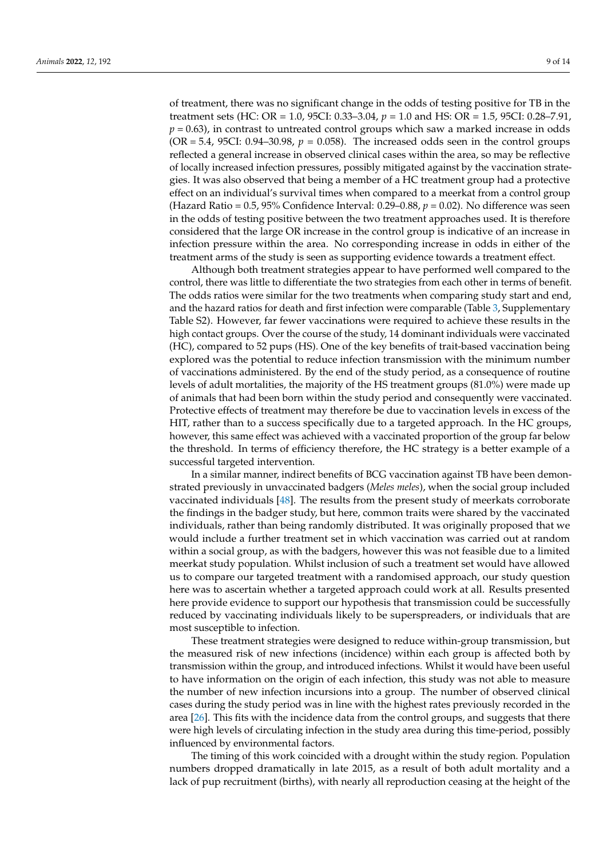of treatment, there was no significant change in the odds of testing positive for TB in the treatment sets (HC: OR = 1.0, 95CI: 0.33–3.04, *p* = 1.0 and HS: OR = 1.5, 95CI: 0.28–7.91,  $p = 0.63$ ), in contrast to untreated control groups which saw a marked increase in odds  $(OR = 5.4, 95CI: 0.94-30.98, p = 0.058)$ . The increased odds seen in the control groups reflected a general increase in observed clinical cases within the area, so may be reflective of locally increased infection pressures, possibly mitigated against by the vaccination strategies. It was also observed that being a member of a HC treatment group had a protective effect on an individual's survival times when compared to a meerkat from a control group (Hazard Ratio =  $0.5$ ,  $95\%$  Confidence Interval:  $0.29-0.88$ ,  $p = 0.02$ ). No difference was seen in the odds of testing positive between the two treatment approaches used. It is therefore considered that the large OR increase in the control group is indicative of an increase in infection pressure within the area. No corresponding increase in odds in either of the treatment arms of the study is seen as supporting evidence towards a treatment effect.

Although both treatment strategies appear to have performed well compared to the control, there was little to differentiate the two strategies from each other in terms of benefit. The odds ratios were similar for the two treatments when comparing study start and end, and the hazard ratios for death and first infection were comparable (Table [3,](#page-7-1) Supplementary Table S2). However, far fewer vaccinations were required to achieve these results in the high contact groups. Over the course of the study, 14 dominant individuals were vaccinated (HC), compared to 52 pups (HS). One of the key benefits of trait-based vaccination being explored was the potential to reduce infection transmission with the minimum number of vaccinations administered. By the end of the study period, as a consequence of routine levels of adult mortalities, the majority of the HS treatment groups (81.0%) were made up of animals that had been born within the study period and consequently were vaccinated. Protective effects of treatment may therefore be due to vaccination levels in excess of the HIT, rather than to a success specifically due to a targeted approach. In the HC groups, however, this same effect was achieved with a vaccinated proportion of the group far below the threshold. In terms of efficiency therefore, the HC strategy is a better example of a successful targeted intervention.

In a similar manner, indirect benefits of BCG vaccination against TB have been demonstrated previously in unvaccinated badgers (*Meles meles*), when the social group included vaccinated individuals [\[48\]](#page-12-24). The results from the present study of meerkats corroborate the findings in the badger study, but here, common traits were shared by the vaccinated individuals, rather than being randomly distributed. It was originally proposed that we would include a further treatment set in which vaccination was carried out at random within a social group, as with the badgers, however this was not feasible due to a limited meerkat study population. Whilst inclusion of such a treatment set would have allowed us to compare our targeted treatment with a randomised approach, our study question here was to ascertain whether a targeted approach could work at all. Results presented here provide evidence to support our hypothesis that transmission could be successfully reduced by vaccinating individuals likely to be superspreaders, or individuals that are most susceptible to infection.

These treatment strategies were designed to reduce within-group transmission, but the measured risk of new infections (incidence) within each group is affected both by transmission within the group, and introduced infections. Whilst it would have been useful to have information on the origin of each infection, this study was not able to measure the number of new infection incursions into a group. The number of observed clinical cases during the study period was in line with the highest rates previously recorded in the area [\[26\]](#page-12-1). This fits with the incidence data from the control groups, and suggests that there were high levels of circulating infection in the study area during this time-period, possibly influenced by environmental factors.

The timing of this work coincided with a drought within the study region. Population numbers dropped dramatically in late 2015, as a result of both adult mortality and a lack of pup recruitment (births), with nearly all reproduction ceasing at the height of the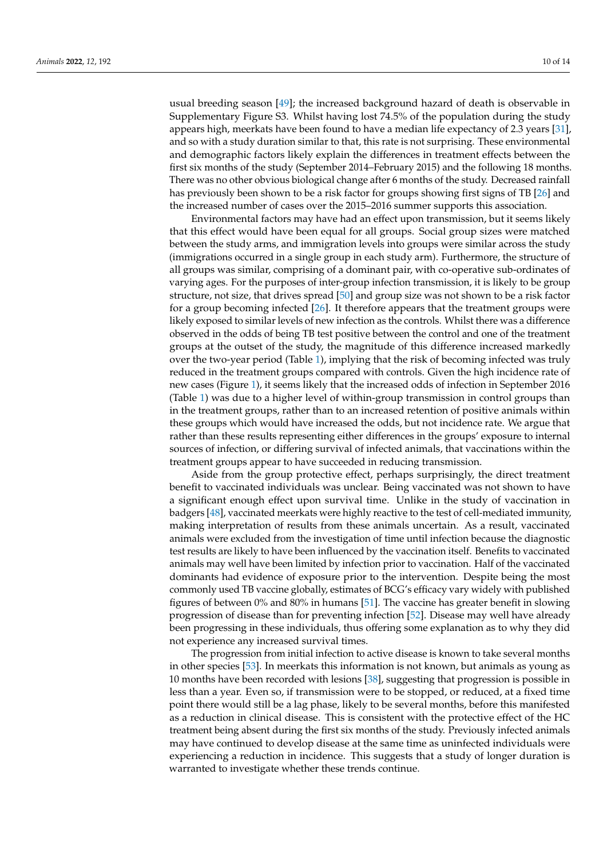usual breeding season [\[49\]](#page-12-25); the increased background hazard of death is observable in Supplementary Figure S3. Whilst having lost 74.5% of the population during the study appears high, meerkats have been found to have a median life expectancy of 2.3 years [\[31\]](#page-12-6), and so with a study duration similar to that, this rate is not surprising. These environmental and demographic factors likely explain the differences in treatment effects between the first six months of the study (September 2014–February 2015) and the following 18 months. There was no other obvious biological change after 6 months of the study. Decreased rainfall has previously been shown to be a risk factor for groups showing first signs of TB [\[26\]](#page-12-1) and the increased number of cases over the 2015–2016 summer supports this association.

Environmental factors may have had an effect upon transmission, but it seems likely that this effect would have been equal for all groups. Social group sizes were matched between the study arms, and immigration levels into groups were similar across the study (immigrations occurred in a single group in each study arm). Furthermore, the structure of all groups was similar, comprising of a dominant pair, with co-operative sub-ordinates of varying ages. For the purposes of inter-group infection transmission, it is likely to be group structure, not size, that drives spread [\[50\]](#page-12-26) and group size was not shown to be a risk factor for a group becoming infected [\[26\]](#page-12-1). It therefore appears that the treatment groups were likely exposed to similar levels of new infection as the controls. Whilst there was a difference observed in the odds of being TB test positive between the control and one of the treatment groups at the outset of the study, the magnitude of this difference increased markedly over the two-year period (Table [1\)](#page-5-0), implying that the risk of becoming infected was truly reduced in the treatment groups compared with controls. Given the high incidence rate of new cases (Figure [1\)](#page-6-0), it seems likely that the increased odds of infection in September 2016 (Table [1\)](#page-5-0) was due to a higher level of within-group transmission in control groups than in the treatment groups, rather than to an increased retention of positive animals within these groups which would have increased the odds, but not incidence rate. We argue that rather than these results representing either differences in the groups' exposure to internal sources of infection, or differing survival of infected animals, that vaccinations within the treatment groups appear to have succeeded in reducing transmission.

Aside from the group protective effect, perhaps surprisingly, the direct treatment benefit to vaccinated individuals was unclear. Being vaccinated was not shown to have a significant enough effect upon survival time. Unlike in the study of vaccination in badgers [\[48\]](#page-12-24), vaccinated meerkats were highly reactive to the test of cell-mediated immunity, making interpretation of results from these animals uncertain. As a result, vaccinated animals were excluded from the investigation of time until infection because the diagnostic test results are likely to have been influenced by the vaccination itself. Benefits to vaccinated animals may well have been limited by infection prior to vaccination. Half of the vaccinated dominants had evidence of exposure prior to the intervention. Despite being the most commonly used TB vaccine globally, estimates of BCG's efficacy vary widely with published figures of between 0% and 80% in humans [\[51\]](#page-13-0). The vaccine has greater benefit in slowing progression of disease than for preventing infection [\[52\]](#page-13-1). Disease may well have already been progressing in these individuals, thus offering some explanation as to why they did not experience any increased survival times.

The progression from initial infection to active disease is known to take several months in other species [\[53\]](#page-13-2). In meerkats this information is not known, but animals as young as 10 months have been recorded with lesions [\[38\]](#page-12-14), suggesting that progression is possible in less than a year. Even so, if transmission were to be stopped, or reduced, at a fixed time point there would still be a lag phase, likely to be several months, before this manifested as a reduction in clinical disease. This is consistent with the protective effect of the HC treatment being absent during the first six months of the study. Previously infected animals may have continued to develop disease at the same time as uninfected individuals were experiencing a reduction in incidence. This suggests that a study of longer duration is warranted to investigate whether these trends continue.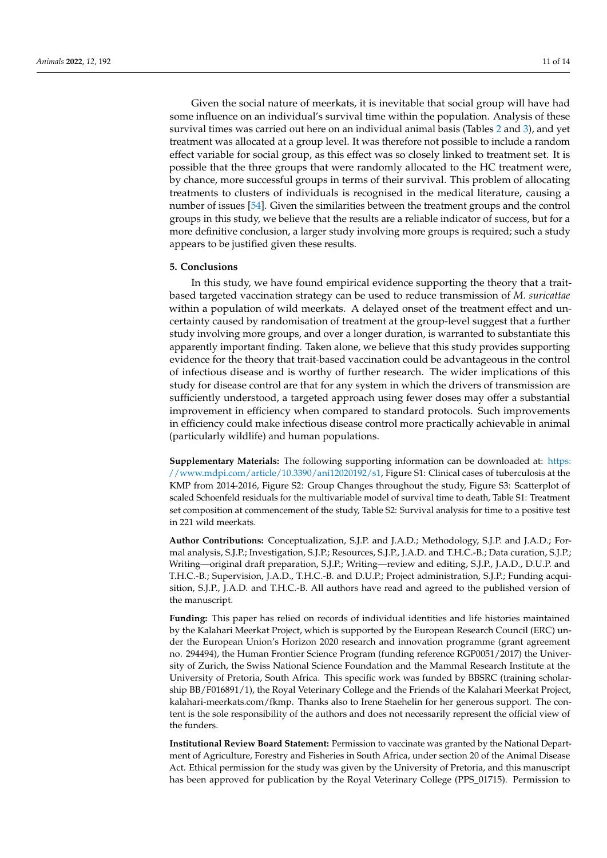Given the social nature of meerkats, it is inevitable that social group will have had some influence on an individual's survival time within the population. Analysis of these survival times was carried out here on an individual animal basis (Tables [2](#page-7-0) and [3\)](#page-7-1), and yet treatment was allocated at a group level. It was therefore not possible to include a random effect variable for social group, as this effect was so closely linked to treatment set. It is possible that the three groups that were randomly allocated to the HC treatment were, by chance, more successful groups in terms of their survival. This problem of allocating treatments to clusters of individuals is recognised in the medical literature, causing a number of issues [\[54\]](#page-13-3). Given the similarities between the treatment groups and the control groups in this study, we believe that the results are a reliable indicator of success, but for a more definitive conclusion, a larger study involving more groups is required; such a study appears to be justified given these results.

# **5. Conclusions**

In this study, we have found empirical evidence supporting the theory that a traitbased targeted vaccination strategy can be used to reduce transmission of *M. suricattae* within a population of wild meerkats. A delayed onset of the treatment effect and uncertainty caused by randomisation of treatment at the group-level suggest that a further study involving more groups, and over a longer duration, is warranted to substantiate this apparently important finding. Taken alone, we believe that this study provides supporting evidence for the theory that trait-based vaccination could be advantageous in the control of infectious disease and is worthy of further research. The wider implications of this study for disease control are that for any system in which the drivers of transmission are sufficiently understood, a targeted approach using fewer doses may offer a substantial improvement in efficiency when compared to standard protocols. Such improvements in efficiency could make infectious disease control more practically achievable in animal (particularly wildlife) and human populations.

**Supplementary Materials:** The following supporting information can be downloaded at: [https:](https://www.mdpi.com/article/10.3390/ani12020192/s1) [//www.mdpi.com/article/10.3390/ani12020192/s1,](https://www.mdpi.com/article/10.3390/ani12020192/s1) Figure S1: Clinical cases of tuberculosis at the KMP from 2014-2016, Figure S2: Group Changes throughout the study, Figure S3: Scatterplot of scaled Schoenfeld residuals for the multivariable model of survival time to death, Table S1: Treatment set composition at commencement of the study, Table S2: Survival analysis for time to a positive test in 221 wild meerkats.

**Author Contributions:** Conceptualization, S.J.P. and J.A.D.; Methodology, S.J.P. and J.A.D.; Formal analysis, S.J.P.; Investigation, S.J.P.; Resources, S.J.P., J.A.D. and T.H.C.-B.; Data curation, S.J.P.; Writing—original draft preparation, S.J.P.; Writing—review and editing, S.J.P., J.A.D., D.U.P. and T.H.C.-B.; Supervision, J.A.D., T.H.C.-B. and D.U.P.; Project administration, S.J.P.; Funding acquisition, S.J.P., J.A.D. and T.H.C.-B. All authors have read and agreed to the published version of the manuscript.

**Funding:** This paper has relied on records of individual identities and life histories maintained by the Kalahari Meerkat Project, which is supported by the European Research Council (ERC) under the European Union's Horizon 2020 research and innovation programme (grant agreement no. 294494), the Human Frontier Science Program (funding reference RGP0051/2017) the University of Zurich, the Swiss National Science Foundation and the Mammal Research Institute at the University of Pretoria, South Africa. This specific work was funded by BBSRC (training scholarship BB/F016891/1), the Royal Veterinary College and the Friends of the Kalahari Meerkat Project, kalahari-meerkats.com/fkmp. Thanks also to Irene Staehelin for her generous support. The content is the sole responsibility of the authors and does not necessarily represent the official view of the funders.

**Institutional Review Board Statement:** Permission to vaccinate was granted by the National Department of Agriculture, Forestry and Fisheries in South Africa, under section 20 of the Animal Disease Act. Ethical permission for the study was given by the University of Pretoria, and this manuscript has been approved for publication by the Royal Veterinary College (PPS\_01715). Permission to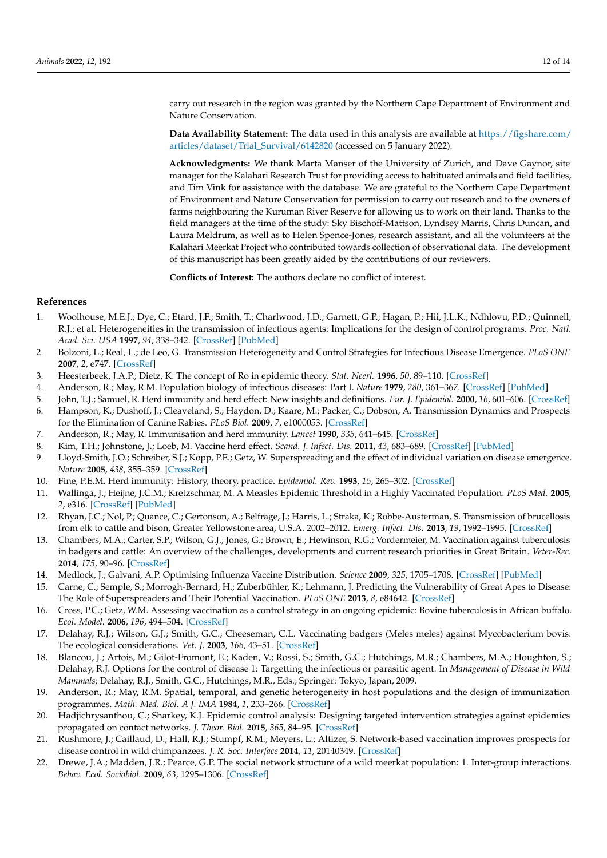carry out research in the region was granted by the Northern Cape Department of Environment and Nature Conservation.

**Data Availability Statement:** The data used in this analysis are available at [https://figshare.com/](https://figshare.com/articles/dataset/Trial_Survival/6142820) [articles/dataset/Trial\\_Survival/6142820](https://figshare.com/articles/dataset/Trial_Survival/6142820) (accessed on 5 January 2022).

**Acknowledgments:** We thank Marta Manser of the University of Zurich, and Dave Gaynor, site manager for the Kalahari Research Trust for providing access to habituated animals and field facilities, and Tim Vink for assistance with the database. We are grateful to the Northern Cape Department of Environment and Nature Conservation for permission to carry out research and to the owners of farms neighbouring the Kuruman River Reserve for allowing us to work on their land. Thanks to the field managers at the time of the study: Sky Bischoff-Mattson, Lyndsey Marris, Chris Duncan, and Laura Meldrum, as well as to Helen Spence-Jones, research assistant, and all the volunteers at the Kalahari Meerkat Project who contributed towards collection of observational data. The development of this manuscript has been greatly aided by the contributions of our reviewers.

**Conflicts of Interest:** The authors declare no conflict of interest.

# **References**

- <span id="page-11-0"></span>1. Woolhouse, M.E.J.; Dye, C.; Etard, J.F.; Smith, T.; Charlwood, J.D.; Garnett, G.P.; Hagan, P.; Hii, J.L.K.; Ndhlovu, P.D.; Quinnell, R.J.; et al. Heterogeneities in the transmission of infectious agents: Implications for the design of control programs. *Proc. Natl. Acad. Sci. USA* **1997**, *94*, 338–342. [\[CrossRef\]](http://doi.org/10.1073/pnas.94.1.338) [\[PubMed\]](http://www.ncbi.nlm.nih.gov/pubmed/8990210)
- <span id="page-11-1"></span>2. Bolzoni, L.; Real, L.; de Leo, G. Transmission Heterogeneity and Control Strategies for Infectious Disease Emergence. *PLoS ONE* **2007**, *2*, e747. [\[CrossRef\]](http://doi.org/10.1371/journal.pone.0000747)
- <span id="page-11-2"></span>3. Heesterbeek, J.A.P.; Dietz, K. The concept of Ro in epidemic theory. *Stat. Neerl.* **1996**, *50*, 89–110. [\[CrossRef\]](http://doi.org/10.1111/j.1467-9574.1996.tb01482.x)
- <span id="page-11-3"></span>4. Anderson, R.; May, R.M. Population biology of infectious diseases: Part I. *Nature* **1979**, *280*, 361–367. [\[CrossRef\]](http://doi.org/10.1038/280361a0) [\[PubMed\]](http://www.ncbi.nlm.nih.gov/pubmed/460412)
- <span id="page-11-4"></span>5. John, T.J.; Samuel, R. Herd immunity and herd effect: New insights and definitions. *Eur. J. Epidemiol.* **2000**, *16*, 601–606. [\[CrossRef\]](http://doi.org/10.1023/A:1007626510002)
- <span id="page-11-5"></span>6. Hampson, K.; Dushoff, J.; Cleaveland, S.; Haydon, D.; Kaare, M.; Packer, C.; Dobson, A. Transmission Dynamics and Prospects for the Elimination of Canine Rabies. *PLoS Biol.* **2009**, *7*, e1000053. [\[CrossRef\]](http://doi.org/10.1371/journal.pbio.1000053)
- <span id="page-11-6"></span>7. Anderson, R.; May, R. Immunisation and herd immunity. *Lancet* **1990**, *335*, 641–645. [\[CrossRef\]](http://doi.org/10.1016/0140-6736(90)90420-A)
- <span id="page-11-7"></span>8. Kim, T.H.; Johnstone, J.; Loeb, M. Vaccine herd effect. *Scand. J. Infect. Dis.* **2011**, *43*, 683–689. [\[CrossRef\]](http://doi.org/10.3109/00365548.2011.582247) [\[PubMed\]](http://www.ncbi.nlm.nih.gov/pubmed/21604922)
- <span id="page-11-8"></span>9. Lloyd-Smith, J.O.; Schreiber, S.J.; Kopp, P.E.; Getz, W. Superspreading and the effect of individual variation on disease emergence. *Nature* **2005**, *438*, 355–359. [\[CrossRef\]](http://doi.org/10.1038/nature04153)
- <span id="page-11-9"></span>10. Fine, P.E.M. Herd immunity: History, theory, practice. *Epidemiol. Rev.* **1993**, *15*, 265–302. [\[CrossRef\]](http://doi.org/10.1093/oxfordjournals.epirev.a036121)
- <span id="page-11-10"></span>11. Wallinga, J.; Heijne, J.C.M.; Kretzschmar, M. A Measles Epidemic Threshold in a Highly Vaccinated Population. *PLoS Med.* **2005**, *2*, e316. [\[CrossRef\]](http://doi.org/10.1371/journal.pmed.0020316) [\[PubMed\]](http://www.ncbi.nlm.nih.gov/pubmed/16218769)
- <span id="page-11-11"></span>12. Rhyan, J.C.; Nol, P.; Quance, C.; Gertonson, A.; Belfrage, J.; Harris, L.; Straka, K.; Robbe-Austerman, S. Transmission of brucellosis from elk to cattle and bison, Greater Yellowstone area, U.S.A. 2002–2012. *Emerg. Infect. Dis.* **2013**, *19*, 1992–1995. [\[CrossRef\]](http://doi.org/10.3201/eid1912.130167)
- <span id="page-11-12"></span>13. Chambers, M.A.; Carter, S.P.; Wilson, G.J.; Jones, G.; Brown, E.; Hewinson, R.G.; Vordermeier, M. Vaccination against tuberculosis in badgers and cattle: An overview of the challenges, developments and current research priorities in Great Britain. *Veter-Rec.* **2014**, *175*, 90–96. [\[CrossRef\]](http://doi.org/10.1136/vr.102581)
- <span id="page-11-13"></span>14. Medlock, J.; Galvani, A.P. Optimising Influenza Vaccine Distribution. *Science* **2009**, *325*, 1705–1708. [\[CrossRef\]](http://doi.org/10.1126/science.1175570) [\[PubMed\]](http://www.ncbi.nlm.nih.gov/pubmed/19696313)
- <span id="page-11-14"></span>15. Carne, C.; Semple, S.; Morrogh-Bernard, H.; Zuberbühler, K.; Lehmann, J. Predicting the Vulnerability of Great Apes to Disease: The Role of Superspreaders and Their Potential Vaccination. *PLoS ONE* **2013**, *8*, e84642. [\[CrossRef\]](http://doi.org/10.1371/journal.pone.0084642)
- <span id="page-11-15"></span>16. Cross, P.C.; Getz, W.M. Assessing vaccination as a control strategy in an ongoing epidemic: Bovine tuberculosis in African buffalo. *Ecol. Model.* **2006**, *196*, 494–504. [\[CrossRef\]](http://doi.org/10.1016/j.ecolmodel.2006.02.009)
- <span id="page-11-16"></span>17. Delahay, R.J.; Wilson, G.J.; Smith, G.C.; Cheeseman, C.L. Vaccinating badgers (Meles meles) against Mycobacterium bovis: The ecological considerations. *Vet. J.* **2003**, *166*, 43–51. [\[CrossRef\]](http://doi.org/10.1016/S1090-0233(03)00071-6)
- <span id="page-11-17"></span>18. Blancou, J.; Artois, M.; Gilot-Fromont, E.; Kaden, V.; Rossi, S.; Smith, G.C.; Hutchings, M.R.; Chambers, M.A.; Houghton, S.; Delahay, R.J. Options for the control of disease 1: Targetting the infectious or parasitic agent. In *Management of Disease in Wild Mammals*; Delahay, R.J., Smith, G.C., Hutchings, M.R., Eds.; Springer: Tokyo, Japan, 2009.
- <span id="page-11-18"></span>19. Anderson, R.; May, R.M. Spatial, temporal, and genetic heterogeneity in host populations and the design of immunization programmes. *Math. Med. Biol. A J. IMA* **1984**, *1*, 233–266. [\[CrossRef\]](http://doi.org/10.1093/imammb/1.3.233)
- <span id="page-11-19"></span>20. Hadjichrysanthou, C.; Sharkey, K.J. Epidemic control analysis: Designing targeted intervention strategies against epidemics propagated on contact networks. *J. Theor. Biol.* **2015**, *365*, 84–95. [\[CrossRef\]](http://doi.org/10.1016/j.jtbi.2014.10.006)
- <span id="page-11-20"></span>21. Rushmore, J.; Caillaud, D.; Hall, R.J.; Stumpf, R.M.; Meyers, L.; Altizer, S. Network-based vaccination improves prospects for disease control in wild chimpanzees. *J. R. Soc. Interface* **2014**, *11*, 20140349. [\[CrossRef\]](http://doi.org/10.1098/rsif.2014.0349)
- <span id="page-11-21"></span>22. Drewe, J.A.; Madden, J.R.; Pearce, G.P. The social network structure of a wild meerkat population: 1. Inter-group interactions. *Behav. Ecol. Sociobiol.* **2009**, *63*, 1295–1306. [\[CrossRef\]](http://doi.org/10.1007/s00265-009-0782-x)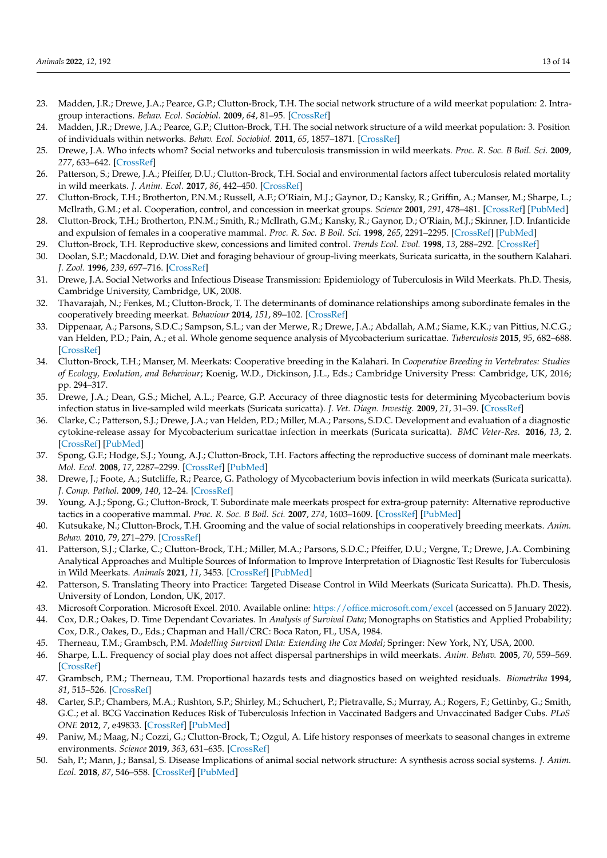- 23. Madden, J.R.; Drewe, J.A.; Pearce, G.P.; Clutton-Brock, T.H. The social network structure of a wild meerkat population: 2. Intragroup interactions. *Behav. Ecol. Sociobiol.* **2009**, *64*, 81–95. [\[CrossRef\]](http://doi.org/10.1007/s00265-009-0820-8)
- <span id="page-12-9"></span>24. Madden, J.R.; Drewe, J.A.; Pearce, G.P.; Clutton-Brock, T.H. The social network structure of a wild meerkat population: 3. Position of individuals within networks. *Behav. Ecol. Sociobiol.* **2011**, *65*, 1857–1871. [\[CrossRef\]](http://doi.org/10.1007/s00265-011-1194-2)
- <span id="page-12-0"></span>25. Drewe, J.A. Who infects whom? Social networks and tuberculosis transmission in wild meerkats. *Proc. R. Soc. B Boil. Sci.* **2009**, *277*, 633–642. [\[CrossRef\]](http://doi.org/10.1098/rspb.2009.1775)
- <span id="page-12-1"></span>26. Patterson, S.; Drewe, J.A.; Pfeiffer, D.U.; Clutton-Brock, T.H. Social and environmental factors affect tuberculosis related mortality in wild meerkats. *J. Anim. Ecol.* **2017**, *86*, 442–450. [\[CrossRef\]](http://doi.org/10.1111/1365-2656.12649)
- <span id="page-12-2"></span>27. Clutton-Brock, T.H.; Brotherton, P.N.M.; Russell, A.F.; O'Riain, M.J.; Gaynor, D.; Kansky, R.; Griffin, A.; Manser, M.; Sharpe, L.; McIlrath, G.M.; et al. Cooperation, control, and concession in meerkat groups. *Science* **2001**, *291*, 478–481. [\[CrossRef\]](http://doi.org/10.1126/science.291.5503.478) [\[PubMed\]](http://www.ncbi.nlm.nih.gov/pubmed/11161200)
- <span id="page-12-3"></span>28. Clutton-Brock, T.H.; Brotherton, P.N.M.; Smith, R.; McIlrath, G.M.; Kansky, R.; Gaynor, D.; O'Riain, M.J.; Skinner, J.D. Infanticide and expulsion of females in a cooperative mammal. *Proc. R. Soc. B Boil. Sci.* **1998**, *265*, 2291–2295. [\[CrossRef\]](http://doi.org/10.1098/rspb.1998.0573) [\[PubMed\]](http://www.ncbi.nlm.nih.gov/pubmed/9881475)
- <span id="page-12-4"></span>29. Clutton-Brock, T.H. Reproductive skew, concessions and limited control. *Trends Ecol. Evol.* **1998**, *13*, 288–292. [\[CrossRef\]](http://doi.org/10.1016/S0169-5347(98)01402-5)
- <span id="page-12-5"></span>30. Doolan, S.P.; Macdonald, D.W. Diet and foraging behaviour of group-living meerkats, Suricata suricatta, in the southern Kalahari. *J. Zool.* **1996**, *239*, 697–716. [\[CrossRef\]](http://doi.org/10.1111/j.1469-7998.1996.tb05472.x)
- <span id="page-12-6"></span>31. Drewe, J.A. Social Networks and Infectious Disease Transmission: Epidemiology of Tuberculosis in Wild Meerkats. Ph.D. Thesis, Cambridge University, Cambridge, UK, 2008.
- <span id="page-12-7"></span>32. Thavarajah, N.; Fenkes, M.; Clutton-Brock, T. The determinants of dominance relationships among subordinate females in the cooperatively breeding meerkat. *Behaviour* **2014**, *151*, 89–102. [\[CrossRef\]](http://doi.org/10.1163/1568539X-00003124)
- <span id="page-12-8"></span>33. Dippenaar, A.; Parsons, S.D.C.; Sampson, S.L.; van der Merwe, R.; Drewe, J.A.; Abdallah, A.M.; Siame, K.K.; van Pittius, N.C.G.; van Helden, P.D.; Pain, A.; et al. Whole genome sequence analysis of Mycobacterium suricattae. *Tuberculosis* **2015**, *95*, 682–688. [\[CrossRef\]](http://doi.org/10.1016/j.tube.2015.10.001)
- <span id="page-12-10"></span>34. Clutton-Brock, T.H.; Manser, M. Meerkats: Cooperative breeding in the Kalahari. In *Cooperative Breeding in Vertebrates: Studies of Ecology, Evolution, and Behaviour*; Koenig, W.D., Dickinson, J.L., Eds.; Cambridge University Press: Cambridge, UK, 2016; pp. 294–317.
- <span id="page-12-11"></span>35. Drewe, J.A.; Dean, G.S.; Michel, A.L.; Pearce, G.P. Accuracy of three diagnostic tests for determining Mycobacterium bovis infection status in live-sampled wild meerkats (Suricata suricatta). *J. Vet. Diagn. Investig.* **2009**, *21*, 31–39. [\[CrossRef\]](http://doi.org/10.1177/104063870902100105)
- <span id="page-12-12"></span>36. Clarke, C.; Patterson, S.J.; Drewe, J.A.; van Helden, P.D.; Miller, M.A.; Parsons, S.D.C. Development and evaluation of a diagnostic cytokine-release assay for Mycobacterium suricattae infection in meerkats (Suricata suricatta). *BMC Veter-Res.* **2016**, *13*, 2. [\[CrossRef\]](http://doi.org/10.1186/s12917-016-0927-x) [\[PubMed\]](http://www.ncbi.nlm.nih.gov/pubmed/28052763)
- <span id="page-12-13"></span>37. Spong, G.F.; Hodge, S.J.; Young, A.J.; Clutton-Brock, T.H. Factors affecting the reproductive success of dominant male meerkats. *Mol. Ecol.* **2008**, *17*, 2287–2299. [\[CrossRef\]](http://doi.org/10.1111/j.1365-294X.2008.03734.x) [\[PubMed\]](http://www.ncbi.nlm.nih.gov/pubmed/18410290)
- <span id="page-12-14"></span>38. Drewe, J.; Foote, A.; Sutcliffe, R.; Pearce, G. Pathology of Mycobacterium bovis infection in wild meerkats (Suricata suricatta). *J. Comp. Pathol.* **2009**, *140*, 12–24. [\[CrossRef\]](http://doi.org/10.1016/j.jcpa.2008.09.004)
- <span id="page-12-15"></span>39. Young, A.J.; Spong, G.; Clutton-Brock, T. Subordinate male meerkats prospect for extra-group paternity: Alternative reproductive tactics in a cooperative mammal. *Proc. R. Soc. B Boil. Sci.* **2007**, *274*, 1603–1609. [\[CrossRef\]](http://doi.org/10.1098/rspb.2007.0316) [\[PubMed\]](http://www.ncbi.nlm.nih.gov/pubmed/17456454)
- <span id="page-12-16"></span>40. Kutsukake, N.; Clutton-Brock, T.H. Grooming and the value of social relationships in cooperatively breeding meerkats. *Anim. Behav.* **2010**, *79*, 271–279. [\[CrossRef\]](http://doi.org/10.1016/j.anbehav.2009.10.014)
- <span id="page-12-17"></span>41. Patterson, S.J.; Clarke, C.; Clutton-Brock, T.H.; Miller, M.A.; Parsons, S.D.C.; Pfeiffer, D.U.; Vergne, T.; Drewe, J.A. Combining Analytical Approaches and Multiple Sources of Information to Improve Interpretation of Diagnostic Test Results for Tuberculosis in Wild Meerkats. *Animals* **2021**, *11*, 3453. [\[CrossRef\]](http://doi.org/10.3390/ani11123453) [\[PubMed\]](http://www.ncbi.nlm.nih.gov/pubmed/34944230)
- <span id="page-12-18"></span>42. Patterson, S. Translating Theory into Practice: Targeted Disease Control in Wild Meerkats (Suricata Suricatta). Ph.D. Thesis, University of London, London, UK, 2017.
- <span id="page-12-19"></span>43. Microsoft Corporation. Microsoft Excel. 2010. Available online: <https://office.microsoft.com/excel> (accessed on 5 January 2022).
- <span id="page-12-20"></span>44. Cox, D.R.; Oakes, D. Time Dependant Covariates. In *Analysis of Survival Data*; Monographs on Statistics and Applied Probability; Cox, D.R., Oakes, D., Eds.; Chapman and Hall/CRC: Boca Raton, FL, USA, 1984.
- <span id="page-12-21"></span>45. Therneau, T.M.; Grambsch, P.M. *Modelling Survival Data: Extending the Cox Model*; Springer: New York, NY, USA, 2000.
- <span id="page-12-22"></span>46. Sharpe, L.L. Frequency of social play does not affect dispersal partnerships in wild meerkats. *Anim. Behav.* **2005**, *70*, 559–569. [\[CrossRef\]](http://doi.org/10.1016/j.anbehav.2004.11.011)
- <span id="page-12-23"></span>47. Grambsch, P.M.; Therneau, T.M. Proportional hazards tests and diagnostics based on weighted residuals. *Biometrika* **1994**, *81*, 515–526. [\[CrossRef\]](http://doi.org/10.1093/biomet/81.3.515)
- <span id="page-12-24"></span>48. Carter, S.P.; Chambers, M.A.; Rushton, S.P.; Shirley, M.; Schuchert, P.; Pietravalle, S.; Murray, A.; Rogers, F.; Gettinby, G.; Smith, G.C.; et al. BCG Vaccination Reduces Risk of Tuberculosis Infection in Vaccinated Badgers and Unvaccinated Badger Cubs. *PLoS ONE* **2012**, *7*, e49833. [\[CrossRef\]](http://doi.org/10.1371/journal.pone.0049833) [\[PubMed\]](http://www.ncbi.nlm.nih.gov/pubmed/23251352)
- <span id="page-12-25"></span>49. Paniw, M.; Maag, N.; Cozzi, G.; Clutton-Brock, T.; Ozgul, A. Life history responses of meerkats to seasonal changes in extreme environments. *Science* **2019**, *363*, 631–635. [\[CrossRef\]](http://doi.org/10.1126/science.aau5905)
- <span id="page-12-26"></span>50. Sah, P.; Mann, J.; Bansal, S. Disease Implications of animal social network structure: A synthesis across social systems. *J. Anim. Ecol.* **2018**, *87*, 546–558. [\[CrossRef\]](http://doi.org/10.1111/1365-2656.12786) [\[PubMed\]](http://www.ncbi.nlm.nih.gov/pubmed/29247466)